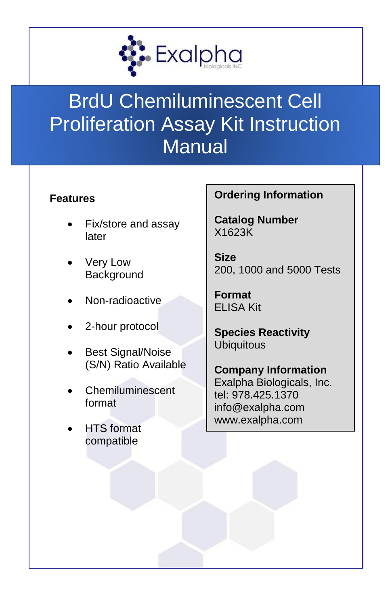

# BrdU Chemiluminescent Cell Proliferation Assay Kit Instruction **Manual**

### **Features**

- Fix/store and assay later
- Very Low **Background**
- Non-radioactive
- 2-hour protocol
- Best Signal/Noise (S/N) Ratio Available
- **Chemiluminescent** format
- **HTS** format compatible

## **Ordering Information**

**Catalog Number** X1623K

**Size** 200, 1000 and 5000 Tests

**Format** ELISA Kit

**Species Reactivity Ubiquitous** 

**Company Information** Exalpha Biologicals, Inc. tel: 978.425.1370 info@exalpha.com www.exalpha.com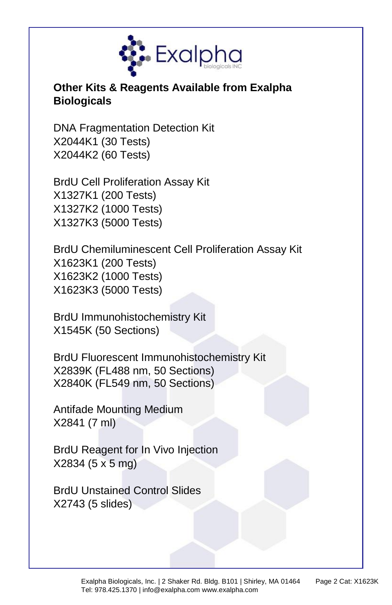

## **Other Kits & Reagents Available from Exalpha Biologicals**

DNA Fragmentation Detection Kit X2044K1 (30 Tests) X2044K2 (60 Tests)

BrdU Cell Proliferation Assay Kit X1327K1 (200 Tests) X1327K2 (1000 Tests) X1327K3 (5000 Tests)

BrdU Chemiluminescent Cell Proliferation Assay Kit X1623K1 (200 Tests) X1623K2 (1000 Tests) X1623K3 (5000 Tests)

BrdU Immunohistochemistry Kit X1545K (50 Sections)

BrdU Fluorescent Immunohistochemistry Kit X2839K (FL488 nm, 50 Sections) X2840K (FL549 nm, 50 Sections)

Antifade Mounting Medium X2841 (7 ml)

BrdU Reagent for In Vivo Injection X2834 (5 x 5 mg)

BrdU Unstained Control Slides X2743 (5 slides)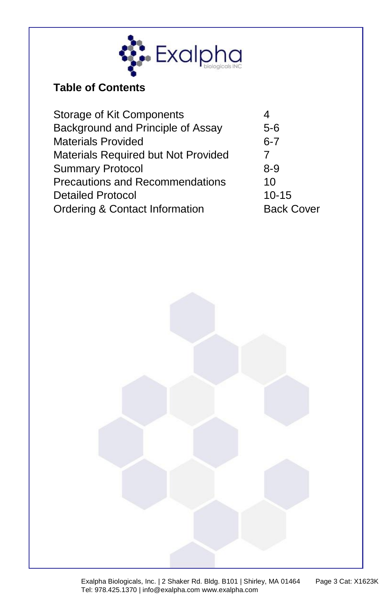

## **Table of Contents**

| $5-6$             |
|-------------------|
| $6 - 7$           |
| 7                 |
| $8-9$             |
| 10                |
| $10 - 15$         |
| <b>Back Cover</b> |
|                   |

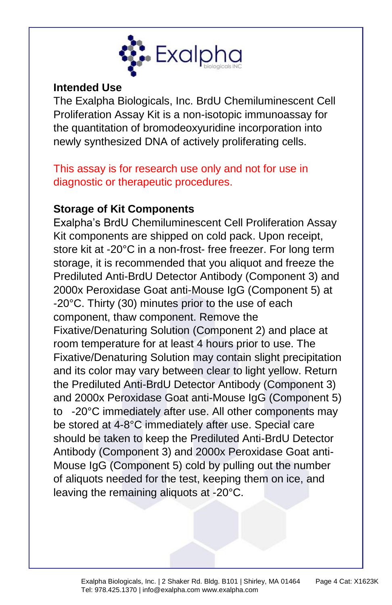

#### **Intended Use**

The Exalpha Biologicals, Inc. BrdU Chemiluminescent Cell Proliferation Assay Kit is a non-isotopic immunoassay for the quantitation of bromodeoxyuridine incorporation into newly synthesized DNA of actively proliferating cells.

This assay is for research use only and not for use in diagnostic or therapeutic procedures.

#### **Storage of Kit Components**

Exalpha's BrdU Chemiluminescent Cell Proliferation Assay Kit components are shipped on cold pack. Upon receipt, store kit at -20°C in a non-frost- free freezer. For long term storage, it is recommended that you aliquot and freeze the Prediluted Anti-BrdU Detector Antibody (Component 3) and 2000x Peroxidase Goat anti-Mouse IgG (Component 5) at -20°C. Thirty (30) minutes prior to the use of each component, thaw component. Remove the Fixative/Denaturing Solution (Component 2) and place at room temperature for at least 4 hours prior to use. The Fixative/Denaturing Solution may contain slight precipitation and its color may vary between clear to light yellow. Return the Prediluted Anti-BrdU Detector Antibody (Component 3) and 2000x Peroxidase Goat anti-Mouse IgG (Component 5) to -20°C immediately after use. All other components may be stored at 4-8°C immediately after use. Special care should be taken to keep the Prediluted Anti-BrdU Detector Antibody (Component 3) and 2000x Peroxidase Goat anti-Mouse IgG (Component 5) cold by pulling out the number of aliquots needed for the test, keeping them on ice, and leaving the remaining aliquots at -20°C.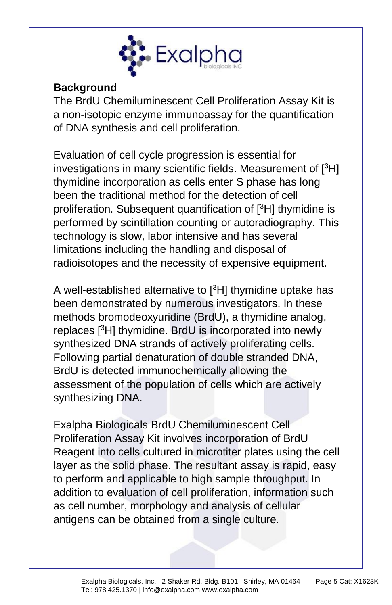

#### **Background**

The BrdU Chemiluminescent Cell Proliferation Assay Kit is a non-isotopic enzyme immunoassay for the quantification of DNA synthesis and cell proliferation.

Evaluation of cell cycle progression is essential for investigations in many scientific fields. Measurement of  $[{}^{3}H]$ thymidine incorporation as cells enter S phase has long been the traditional method for the detection of cell proliferation. Subsequent quantification of [<sup>3</sup>H] thymidine is performed by scintillation counting or autoradiography. This technology is slow, labor intensive and has several limitations including the handling and disposal of radioisotopes and the necessity of expensive equipment.

A well-established alternative to [<sup>3</sup>H] thymidine uptake has been demonstrated by numerous investigators. In these methods bromodeoxyuridine (BrdU), a thymidine analog, replaces [<sup>3</sup>H] thymidine. BrdU is incorporated into newly synthesized DNA strands of actively proliferating cells. Following partial denaturation of double stranded DNA, BrdU is detected immunochemically allowing the assessment of the population of cells which are actively synthesizing DNA.

Exalpha Biologicals BrdU Chemiluminescent Cell Proliferation Assay Kit involves incorporation of BrdU Reagent into cells cultured in microtiter plates using the cell layer as the solid phase. The resultant assay is rapid, easy to perform and applicable to high sample throughput. In addition to evaluation of cell proliferation, information such as cell number, morphology and analysis of cellular antigens can be obtained from a single culture.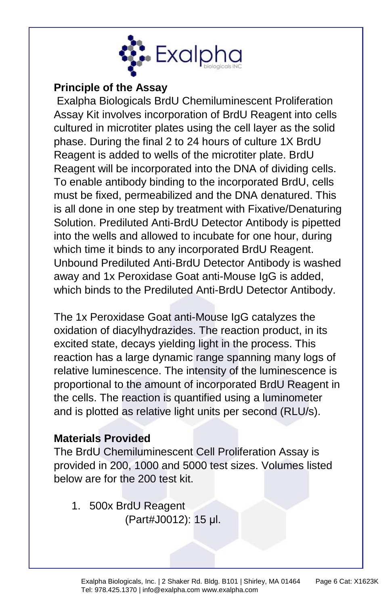

### **Principle of the Assay**

Exalpha Biologicals BrdU Chemiluminescent Proliferation Assay Kit involves incorporation of BrdU Reagent into cells cultured in microtiter plates using the cell layer as the solid phase. During the final 2 to 24 hours of culture 1X BrdU Reagent is added to wells of the microtiter plate. BrdU Reagent will be incorporated into the DNA of dividing cells. To enable antibody binding to the incorporated BrdU, cells must be fixed, permeabilized and the DNA denatured. This is all done in one step by treatment with Fixative/Denaturing Solution. Prediluted Anti-BrdU Detector Antibody is pipetted into the wells and allowed to incubate for one hour, during which time it binds to any incorporated BrdU Reagent. Unbound Prediluted Anti-BrdU Detector Antibody is washed away and 1x Peroxidase Goat anti-Mouse IgG is added, which binds to the Prediluted Anti-BrdU Detector Antibody.

The 1x Peroxidase Goat anti-Mouse IgG catalyzes the oxidation of diacylhydrazides. The reaction product, in its excited state, decays yielding light in the process. This reaction has a large dynamic range spanning many logs of relative luminescence. The intensity of the luminescence is proportional to the amount of incorporated BrdU Reagent in the cells. The reaction is quantified using a luminometer and is plotted as relative light units per second (RLU/s).

#### **Materials Provided**

The BrdU Chemiluminescent Cell Proliferation Assay is provided in 200, 1000 and 5000 test sizes. Volumes listed below are for the 200 test kit.

1. 500x BrdU Reagent (Part#J0012): 15 μl.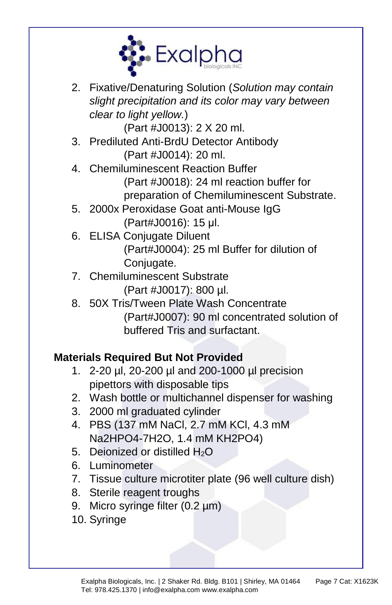

2. Fixative/Denaturing Solution (*Solution may contain slight precipitation and its color may vary between clear to light yellow.*)

(Part #J0013): 2 X 20 ml.

- 3. Prediluted Anti-BrdU Detector Antibody (Part #J0014): 20 ml.
- 4. Chemiluminescent Reaction Buffer (Part #J0018): 24 ml reaction buffer for preparation of Chemiluminescent Substrate.
- 5. 2000x Peroxidase Goat anti-Mouse IgG (Part#J0016): 15 μl.
- 6. ELISA Conjugate Diluent (Part#J0004): 25 ml Buffer for dilution of Conjugate.
- 7. Chemiluminescent Substrate (Part #J0017): 800 µl.
- 8. 50X Tris/Tween Plate Wash Concentrate (Part#J0007): 90 ml concentrated solution of buffered Tris and surfactant.

# **Materials Required But Not Provided**

- 1. 2-20 µl, 20-200 µl and 200-1000 µl precision pipettors with disposable tips
- 2. Wash bottle or multichannel dispenser for washing
- 3. 2000 ml graduated cylinder
- 4. PBS (137 mM NaCl, 2.7 mM KCl, 4.3 mM Na2HPO4-7H2O, 1.4 mM KH2PO4)
- 5. Deionized or distilled  $H_2O$
- 6. Luminometer
- 7. Tissue culture microtiter plate (96 well culture dish)
- 8. Sterile reagent troughs
- 9. Micro syringe filter (0.2 µm)
- 10. Syringe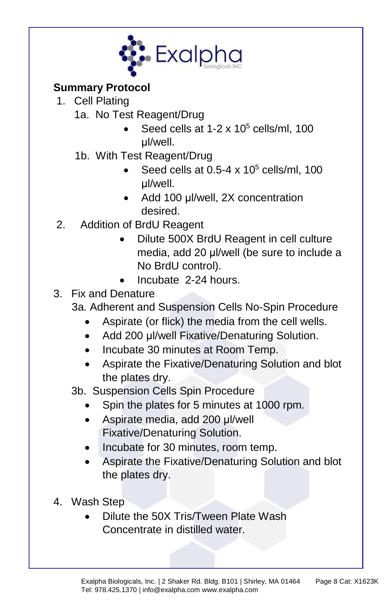

## **Summary Protocol**

- 1. Cell Plating
	- 1a. No Test Reagent/Drug
		- Seed cells at  $1-2 \times 10^5$  cells/ml,  $100$ μl/well.
	- 1b. With Test Reagent/Drug
		- Seed cells at  $0.5-4 \times 10^5$  cells/ml, 100 μl/well.
		- Add 100 μl/well, 2X concentration desired.
- 2. Addition of BrdU Reagent
	- Dilute 500X BrdU Reagent in cell culture media, add 20 μl/well (be sure to include a No BrdU control).
	- Incubate 2-24 hours.
- 3. Fix and Denature
	- 3a. Adherent and Suspension Cells No-Spin Procedure
		- Aspirate (or flick) the media from the cell wells.
		- Add 200 μl/well Fixative/Denaturing Solution.
		- Incubate 30 minutes at Room Temp.
		- Aspirate the Fixative/Denaturing Solution and blot the plates dry.

3b. Suspension Cells Spin Procedure

- Spin the plates for 5 minutes at 1000 rpm.
- Aspirate media, add 200 μl/well Fixative/Denaturing Solution.
- Incubate for 30 minutes, room temp.
- Aspirate the Fixative/Denaturing Solution and blot the plates dry.
- 4. Wash Step
	- Dilute the 50X Tris/Tween Plate Wash Concentrate in distilled water.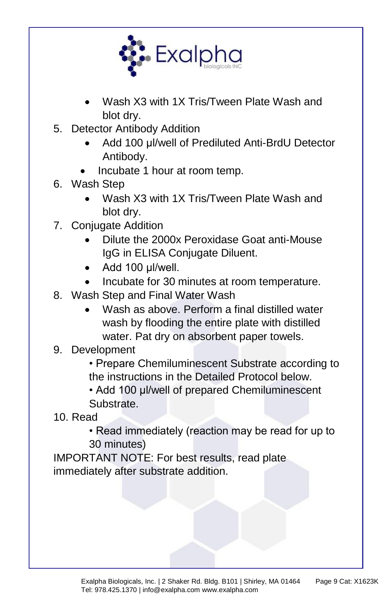

- Wash X3 with 1X Tris/Tween Plate Wash and blot dry.
- 5. Detector Antibody Addition
	- Add 100 μl/well of Prediluted Anti-BrdU Detector Antibody.
	- Incubate 1 hour at room temp.
- 6. Wash Step
	- Wash X3 with 1X Tris/Tween Plate Wash and blot dry.
- 7. Conjugate Addition
	- Dilute the 2000x Peroxidase Goat anti-Mouse IgG in ELISA Conjugate Diluent.
	- Add 100 μl/well.
	- Incubate for 30 minutes at room temperature.
- 8. Wash Step and Final Water Wash
	- Wash as above. Perform a final distilled water wash by flooding the entire plate with distilled water. Pat dry on absorbent paper towels.
- 9. Development

• Prepare Chemiluminescent Substrate according to the instructions in the Detailed Protocol below.

• Add 100 μl/well of prepared Chemiluminescent Substrate.

10. Read

• Read immediately (reaction may be read for up to 30 minutes)

IMPORTANT NOTE: For best results, read plate immediately after substrate addition.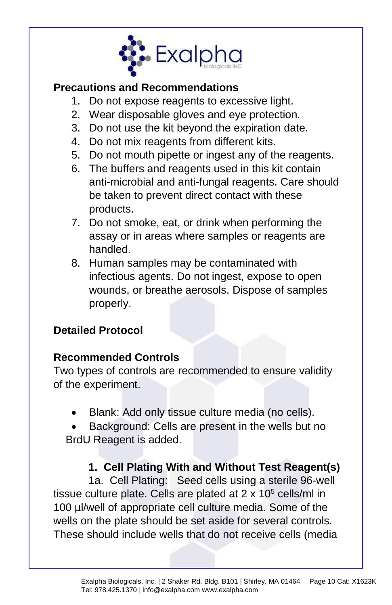

#### **Precautions and Recommendations**

- 1. Do not expose reagents to excessive light.
- 2. Wear disposable gloves and eye protection.
- 3. Do not use the kit beyond the expiration date.
- 4. Do not mix reagents from different kits.
- 5. Do not mouth pipette or ingest any of the reagents.
- 6. The buffers and reagents used in this kit contain anti-microbial and anti-fungal reagents. Care should be taken to prevent direct contact with these products.
- 7. Do not smoke, eat, or drink when performing the assay or in areas where samples or reagents are handled.
- 8. Human samples may be contaminated with infectious agents. Do not ingest, expose to open wounds, or breathe aerosols. Dispose of samples properly.

## **Detailed Protocol**

#### **Recommended Controls**

Two types of controls are recommended to ensure validity of the experiment.

• Blank: Add only tissue culture media (no cells).

• Background: Cells are present in the wells but no BrdU Reagent is added.

## **1. Cell Plating With and Without Test Reagent(s)**

1a. Cell Plating: Seed cells using a sterile 96-well tissue culture plate. Cells are plated at  $2 \times 10^5$  cells/ml in 100 µl/well of appropriate cell culture media. Some of the wells on the plate should be set aside for several controls. These should include wells that do not receive cells (media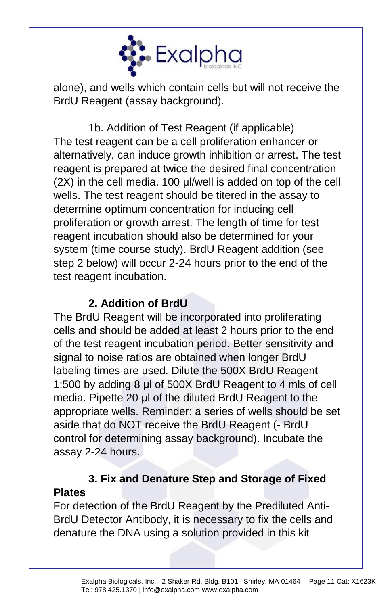

alone), and wells which contain cells but will not receive the BrdU Reagent (assay background).

1b. Addition of Test Reagent (if applicable) The test reagent can be a cell proliferation enhancer or alternatively, can induce growth inhibition or arrest. The test reagent is prepared at twice the desired final concentration (2X) in the cell media. 100 μl/well is added on top of the cell wells. The test reagent should be titered in the assay to determine optimum concentration for inducing cell proliferation or growth arrest. The length of time for test reagent incubation should also be determined for your system (time course study). BrdU Reagent addition (see step 2 below) will occur 2-24 hours prior to the end of the test reagent incubation.

## **2. Addition of BrdU**

The BrdU Reagent will be incorporated into proliferating cells and should be added at least 2 hours prior to the end of the test reagent incubation period. Better sensitivity and signal to noise ratios are obtained when longer BrdU labeling times are used. Dilute the 500X BrdU Reagent 1:500 by adding 8 μl of 500X BrdU Reagent to 4 mls of cell media. Pipette 20 μl of the diluted BrdU Reagent to the appropriate wells. Reminder: a series of wells should be set aside that do NOT receive the BrdU Reagent (- BrdU control for determining assay background). Incubate the assay 2-24 hours.

## **3. Fix and Denature Step and Storage of Fixed Plates**

For detection of the BrdU Reagent by the Prediluted Anti-BrdU Detector Antibody, it is necessary to fix the cells and denature the DNA using a solution provided in this kit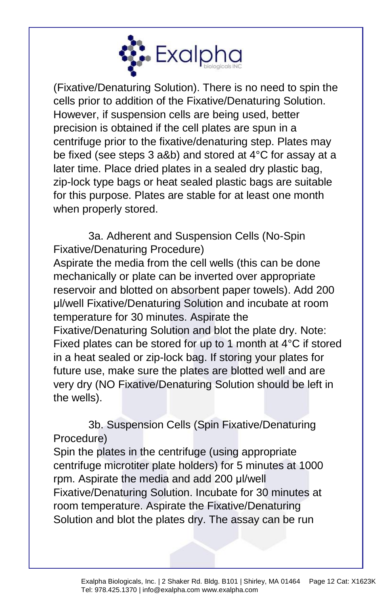

(Fixative/Denaturing Solution). There is no need to spin the cells prior to addition of the Fixative/Denaturing Solution. However, if suspension cells are being used, better precision is obtained if the cell plates are spun in a centrifuge prior to the fixative/denaturing step. Plates may be fixed (see steps 3 a&b) and stored at 4°C for assay at a later time. Place dried plates in a sealed dry plastic bag, zip-lock type bags or heat sealed plastic bags are suitable for this purpose. Plates are stable for at least one month when properly stored.

3a. Adherent and Suspension Cells (No-Spin Fixative/Denaturing Procedure)

Aspirate the media from the cell wells (this can be done mechanically or plate can be inverted over appropriate reservoir and blotted on absorbent paper towels). Add 200 μl/well Fixative/Denaturing Solution and incubate at room temperature for 30 minutes. Aspirate the Fixative/Denaturing Solution and blot the plate dry. Note: Fixed plates can be stored for up to 1 month at 4°C if stored in a heat sealed or zip-lock bag. If storing your plates for future use, make sure the plates are blotted well and are very dry (NO Fixative/Denaturing Solution should be left in the wells).

3b. Suspension Cells (Spin Fixative/Denaturing Procedure)

Spin the plates in the centrifuge (using appropriate centrifuge microtiter plate holders) for 5 minutes at 1000 rpm. Aspirate the media and add 200 μl/well Fixative/Denaturing Solution. Incubate for 30 minutes at room temperature. Aspirate the Fixative/Denaturing Solution and blot the plates dry. The assay can be run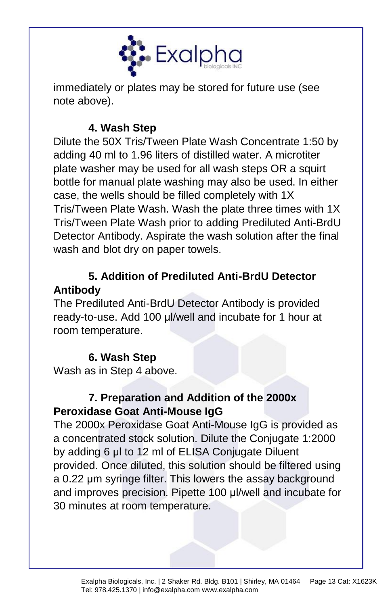

immediately or plates may be stored for future use (see note above).

## **4. Wash Step**

Dilute the 50X Tris/Tween Plate Wash Concentrate 1:50 by adding 40 ml to 1.96 liters of distilled water. A microtiter plate washer may be used for all wash steps OR a squirt bottle for manual plate washing may also be used. In either case, the wells should be filled completely with 1X Tris/Tween Plate Wash. Wash the plate three times with 1X Tris/Tween Plate Wash prior to adding Prediluted Anti-BrdU Detector Antibody. Aspirate the wash solution after the final wash and blot dry on paper towels.

## **5. Addition of Prediluted Anti-BrdU Detector Antibody**

The Prediluted Anti-BrdU Detector Antibody is provided ready-to-use. Add 100 μl/well and incubate for 1 hour at room temperature.

## **6. Wash Step**

Wash as in Step 4 above.

## **7. Preparation and Addition of the 2000x Peroxidase Goat Anti-Mouse IgG**

The 2000x Peroxidase Goat Anti-Mouse IgG is provided as a concentrated stock solution. Dilute the Conjugate 1:2000 by adding 6 μl to 12 ml of ELISA Conjugate Diluent provided. Once diluted, this solution should be filtered using a 0.22 μm syringe filter. This lowers the assay background and improves precision. Pipette 100 μl/well and incubate for 30 minutes at room temperature.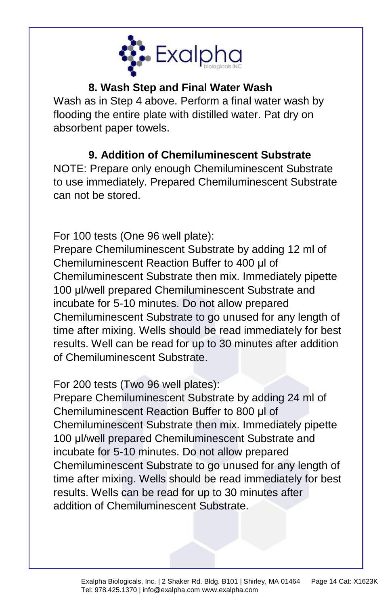

## **8. Wash Step and Final Water Wash**

Wash as in Step 4 above. Perform a final water wash by flooding the entire plate with distilled water. Pat dry on absorbent paper towels.

# **9. Addition of Chemiluminescent Substrate**

NOTE: Prepare only enough Chemiluminescent Substrate to use immediately. Prepared Chemiluminescent Substrate can not be stored.

For 100 tests (One 96 well plate):

Prepare Chemiluminescent Substrate by adding 12 ml of Chemiluminescent Reaction Buffer to 400 μl of Chemiluminescent Substrate then mix. Immediately pipette 100 μl/well prepared Chemiluminescent Substrate and incubate for 5-10 minutes. Do not allow prepared Chemiluminescent Substrate to go unused for any length of time after mixing. Wells should be read immediately for best results. Well can be read for up to 30 minutes after addition of Chemiluminescent Substrate.

For 200 tests (Two 96 well plates):

Prepare Chemiluminescent Substrate by adding 24 ml of Chemiluminescent Reaction Buffer to 800 μl of Chemiluminescent Substrate then mix. Immediately pipette 100 μl/well prepared Chemiluminescent Substrate and incubate for 5-10 minutes. Do not allow prepared Chemiluminescent Substrate to go unused for any length of time after mixing. Wells should be read immediately for best results. Wells can be read for up to 30 minutes after addition of Chemiluminescent Substrate.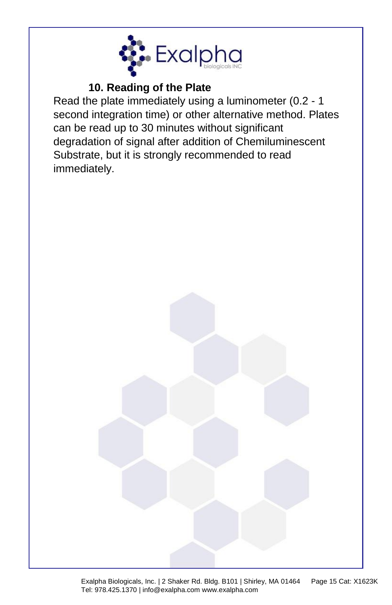

# **10. Reading of the Plate**

Read the plate immediately using a luminometer (0.2 - 1 second integration time) or other alternative method. Plates can be read up to 30 minutes without significant degradation of signal after addition of Chemiluminescent Substrate, but it is strongly recommended to read immediately.